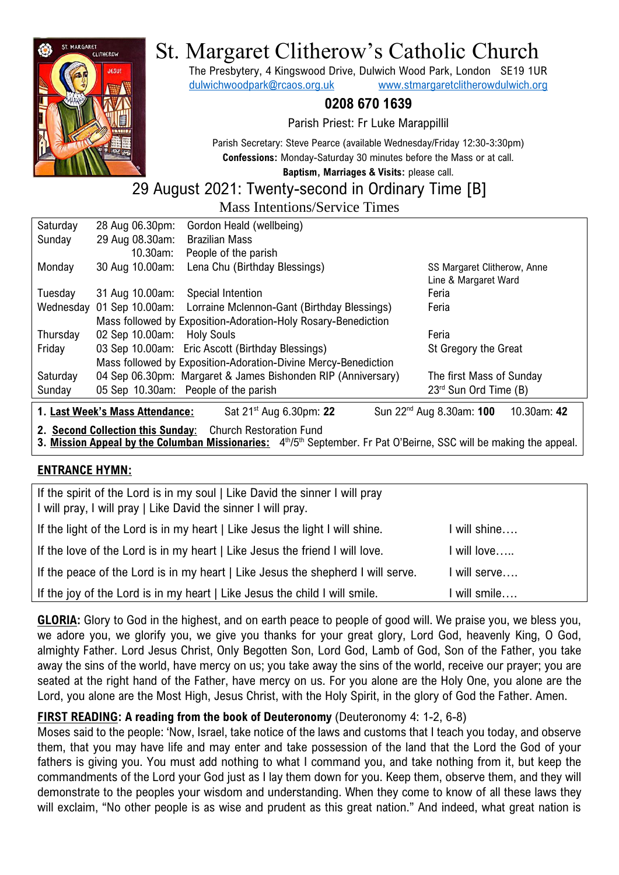

# St. Margaret Clitherow's Catholic Church

The Presbytery, 4 Kingswood Drive, Dulwich Wood Park, London SE19 1UR [dulwichwoodpark@rcaos.org.uk](mailto:dulwichwoodpark@rcaos.org.uk) [www.stmargaretclitherowdulwich.org](http://www.stmargaretclitherowdulwich.org/)

### **0208 670 1639**

Parish Priest: Fr Luke Marappillil

Parish Secretary: Steve Pearce (available Wednesday/Friday 12:30-3:30pm) **Confessions:** Monday-Saturday 30 minutes before the Mass or at call. **Baptism, Marriages & Visits:** please call.

## 29 August 2021: Twenty-second in Ordinary Time [B]

Mass Intentions/Service Times

| Saturday                                                                                                                      | 28 Aug 06.30pm: | Gordon Heald (wellbeing)                                       |                             |  |
|-------------------------------------------------------------------------------------------------------------------------------|-----------------|----------------------------------------------------------------|-----------------------------|--|
| Sunday                                                                                                                        | 29 Aug 08.30am: | <b>Brazilian Mass</b>                                          |                             |  |
|                                                                                                                               | 10.30am:        | People of the parish                                           |                             |  |
| Monday                                                                                                                        | 30 Aug 10.00am: | Lena Chu (Birthday Blessings)                                  | SS Margaret Clitherow, Anne |  |
|                                                                                                                               |                 |                                                                | Line & Margaret Ward        |  |
| Tuesday                                                                                                                       | 31 Aug 10.00am: | Special Intention                                              | Feria                       |  |
| Wednesday                                                                                                                     |                 | 01 Sep 10.00am: Lorraine Mclennon-Gant (Birthday Blessings)    | Feria                       |  |
|                                                                                                                               |                 | Mass followed by Exposition-Adoration-Holy Rosary-Benediction  |                             |  |
| Thursday                                                                                                                      | 02 Sep 10.00am: | <b>Holy Souls</b>                                              | Feria                       |  |
| Friday                                                                                                                        |                 | 03 Sep 10.00am: Eric Ascott (Birthday Blessings)               | St Gregory the Great        |  |
|                                                                                                                               |                 | Mass followed by Exposition-Adoration-Divine Mercy-Benediction |                             |  |
| Saturday                                                                                                                      |                 | 04 Sep 06.30pm: Margaret & James Bishonden RIP (Anniversary)   | The first Mass of Sunday    |  |
| Sunday                                                                                                                        |                 | 05 Sep 10.30am: People of the parish                           | 23rd Sun Ord Time (B)       |  |
| 10.30am: 42<br>1. Last Week's Mass Attendance:<br>Sun 22 <sup>nd</sup> Aug 8.30am: 100<br>Sat 21 <sup>st</sup> Aug 6.30pm: 22 |                 |                                                                |                             |  |
| <b>Church Restoration Fund</b><br>2. Second Collection this Sunday:                                                           |                 |                                                                |                             |  |

3. Mission Appeal by the Columban Missionaries: 4<sup>th</sup>/5<sup>th</sup> September. Fr Pat O'Beirne, SSC will be making the appeal.

### **ENTRANCE HYMN:**

| If the spirit of the Lord is in my soul   Like David the sinner I will pray<br>I will pray, I will pray   Like David the sinner I will pray. |             |
|----------------------------------------------------------------------------------------------------------------------------------------------|-------------|
| If the light of the Lord is in my heart   Like Jesus the light I will shine.                                                                 | will shine  |
| If the love of the Lord is in my heart   Like Jesus the friend I will love.                                                                  | l will love |
| If the peace of the Lord is in my heart   Like Jesus the shepherd I will serve.                                                              | will serve  |
| If the joy of the Lord is in my heart   Like Jesus the child I will smile.                                                                   | will smile  |

**GLORIA:** Glory to God in the highest, and on earth peace to people of good will. We praise you, we bless you, we adore you, we glorify you, we give you thanks for your great glory, Lord God, heavenly King, O God, almighty Father. Lord Jesus Christ, Only Begotten Son, Lord God, Lamb of God, Son of the Father, you take away the sins of the world, have mercy on us; you take away the sins of the world, receive our prayer; you are seated at the right hand of the Father, have mercy on us. For you alone are the Holy One, you alone are the Lord, you alone are the Most High, Jesus Christ, with the Holy Spirit, in the glory of God the Father. Amen.

### **FIRST READING: A reading from the book of Deuteronomy** (Deuteronomy 4: 1-2, 6-8)

Moses said to the people: 'Now, Israel, take notice of the laws and customs that I teach you today, and observe them, that you may have life and may enter and take possession of the land that the Lord the God of your fathers is giving you. You must add nothing to what I command you, and take nothing from it, but keep the commandments of the Lord your God just as I lay them down for you. Keep them, observe them, and they will demonstrate to the peoples your wisdom and understanding. When they come to know of all these laws they will exclaim, "No other people is as wise and prudent as this great nation." And indeed, what great nation is